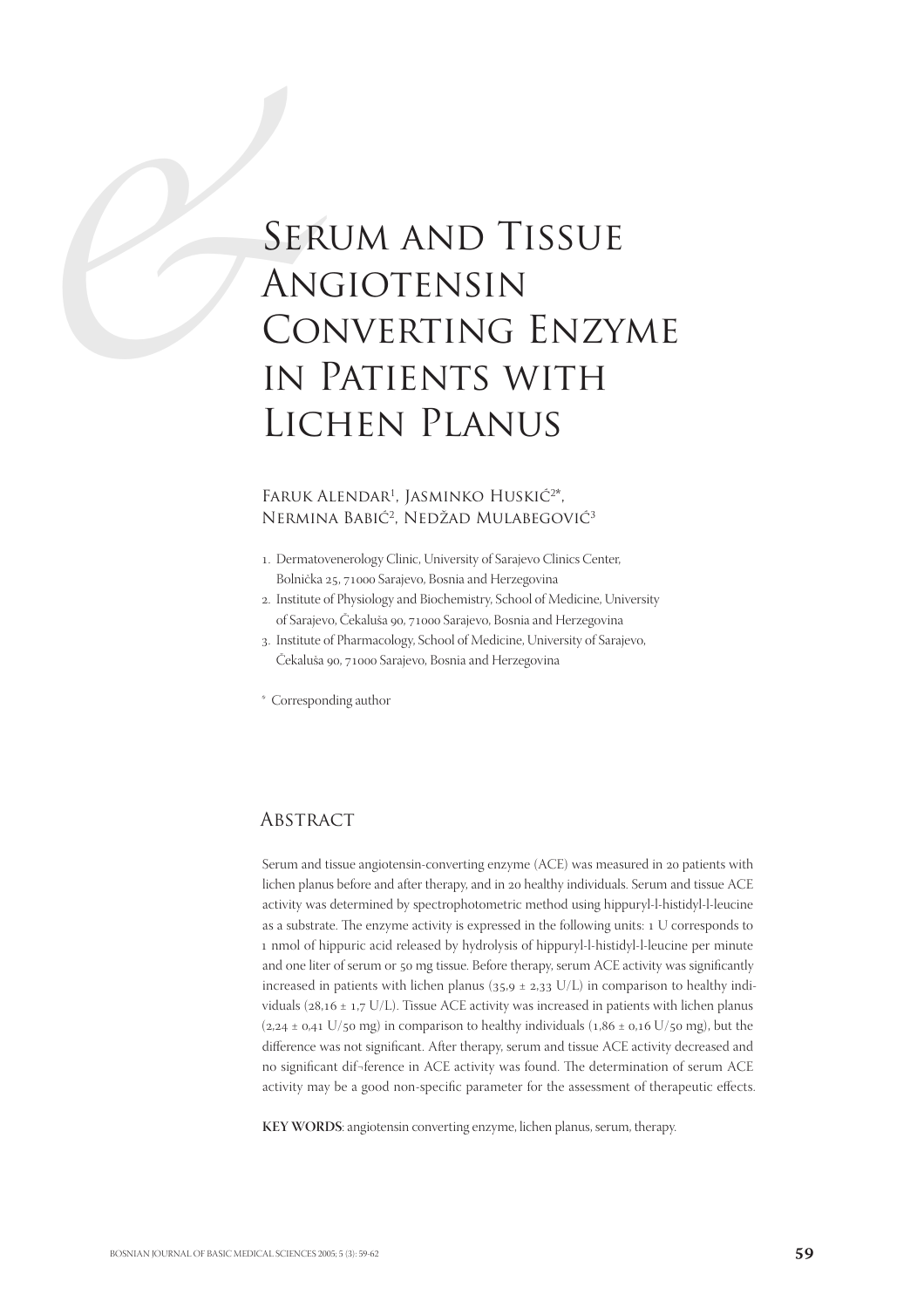# ER<br>
ANG<br>
CO<br>
IN LIC Serum and Tissue Angiotensin Converting Enzyme in Patients with Lichen Planus

## FARUK ALENDAR<sup>1</sup>, JASMINKO HUSKIĆ<sup>2\*</sup>, NERMINA BABIĆ<sup>2</sup>, NEDŽAD MULABEGOVIĆ<sup>3</sup>

- . Dermatovenerology Clinic, University of Sarajevo Clinics Center, Bolnička 25, 71000 Sarajevo, Bosnia and Herzegovina
- . Institute of Physiology and Biochemistry, School of Medicine, University of Sarajevo, Čekaluša 90, 71000 Sarajevo, Bosnia and Herzegovina
- . Institute of Pharmacology, School of Medicine, University of Sarajevo, Čekaluša 90, 71000 Sarajevo, Bosnia and Herzegovina

\* Corresponding author

# **ABSTRACT**

Serum and tissue angiotensin-converting enzyme (ACE) was measured in 20 patients with lichen planus before and after therapy, and in 20 healthy individuals. Serum and tissue ACE activity was determined by spectrophotometric method using hippuryl-l-histidyl-l-leucine as a substrate. The enzyme activity is expressed in the following units: 1 U corresponds to nmol of hippuric acid released by hydrolysis of hippuryl-l-histidyl-l-leucine per minute and one liter of serum or 50 mg tissue. Before therapy, serum ACE activity was significantly increased in patients with lichen planus ( $35.9 \pm 2.33$  U/L) in comparison to healthy individuals ( $28, 16 \pm 1, 7$  U/L). Tissue ACE activity was increased in patients with lichen planus  $(2, 24 \pm 0.41 \text{ U/s}0 \text{ mg})$  in comparison to healthy individuals  $(1, 86 \pm 0.16 \text{ U/s}0 \text{ mg})$ , but the difference was not significant. After therapy, serum and tissue ACE activity decreased and no significant dif¬ference in ACE activity was found. The determination of serum ACE activity may be a good non-specific parameter for the assessment of therapeutic effects.

**KEY WORDS**: angiotensin converting enzyme, lichen planus, serum, therapy.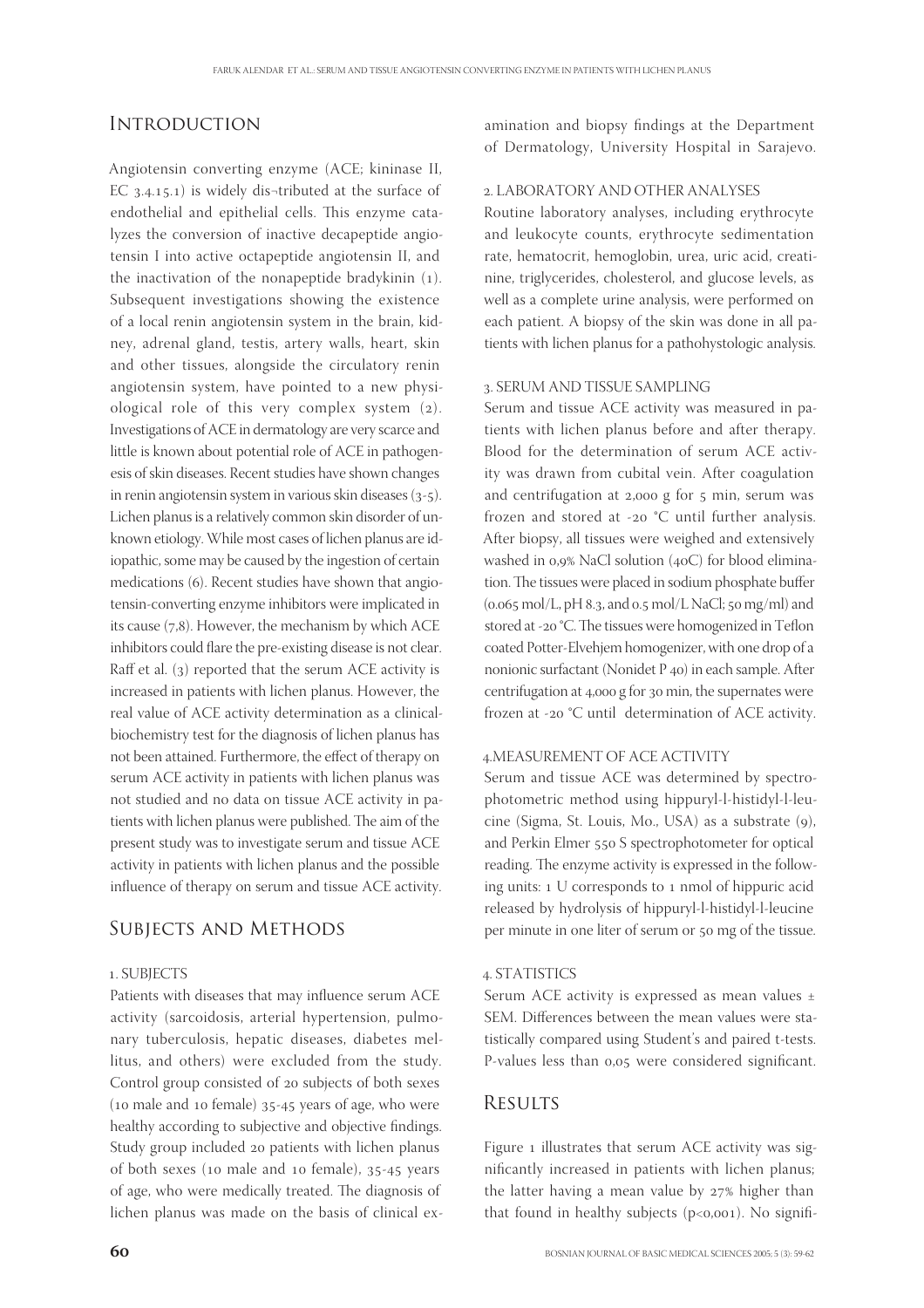# **INTRODUCTION**

Angiotensin converting enzyme (ACE; kininase II, EC  $3.4.15.1$ ) is widely dis-tributed at the surface of endothelial and epithelial cells. This enzyme catalyzes the conversion of inactive decapeptide angiotensin I into active octapeptide angiotensin II, and the inactivation of the nonapeptide bradykinin  $(1)$ . Subsequent investigations showing the existence of a local renin angiotensin system in the brain, kidney, adrenal gland, testis, artery walls, heart, skin and other tissues, alongside the circulatory renin angiotensin system, have pointed to a new physiological role of this very complex system (2). Investigations of ACE in dermatology are very scarce and little is known about potential role of ACE in pathogenesis of skin diseases. Recent studies have shown changes in renin angiotensin system in various skin diseases  $(3-5)$ . Lichen planus is a relatively common skin disorder of unknown etiology. While most cases of lichen planus are idiopathic, some may be caused by the ingestion of certain medications (6). Recent studies have shown that angiotensin-converting enzyme inhibitors were implicated in its cause  $(7,8)$ . However, the mechanism by which ACE inhibitors could flare the pre-existing disease is not clear. Raff et al.  $(3)$  reported that the serum ACE activity is increased in patients with lichen planus. However, the real value of ACE activity determination as a clinicalbiochemistry test for the diagnosis of lichen planus has not been attained. Furthermore, the effect of therapy on serum ACE activity in patients with lichen planus was not studied and no data on tissue ACE activity in patients with lichen planus were published. The aim of the present study was to investigate serum and tissue ACE activity in patients with lichen planus and the possible influence of therapy on serum and tissue ACE activity.

#### SUBJECTS AND METHODS

#### . SUBJECTS

Patients with diseases that may influence serum ACE activity (sarcoidosis, arterial hypertension, pulmonary tuberculosis, hepatic diseases, diabetes mellitus, and others) were excluded from the study. Control group consisted of 20 subjects of both sexes (10 male and 10 female)  $35-45$  years of age, who were healthy according to subjective and objective findings. Study group included 20 patients with lichen planus of both sexes (10 male and 10 female), 35-45 years of age, who were medically treated. The diagnosis of lichen planus was made on the basis of clinical examination and biopsy findings at the Department of Dermatology, University Hospital in Sarajevo.

#### . LABORATORY AND OTHER ANALYSES

Routine laboratory analyses, including erythrocyte and leukocyte counts, erythrocyte sedimentation rate, hematocrit, hemoglobin, urea, uric acid, creatinine, triglycerides, cholesterol, and glucose levels, as well as a complete urine analysis, were performed on each patient. A biopsy of the skin was done in all patients with lichen planus for a pathohystologic analysis.

#### . SERUM AND TISSUE SAMPLING

Serum and tissue ACE activity was measured in patients with lichen planus before and after therapy. Blood for the determination of serum ACE activity was drawn from cubital vein. After coagulation and centrifugation at 2,000 g for 5 min, serum was frozen and stored at -20  $^{\circ}$ C until further analysis. After biopsy, all tissues were weighed and extensively washed in 0,9% NaCl solution (40C) for blood elimination. The tissues were placed in sodium phosphate buffer  $(0.065 \text{ mol/L}, \text{pH } 8.3, \text{and } 0.5 \text{ mol/L NaCl}; 50 \text{ mg/ml})$  and stored at -20 °C. The tissues were homogenized in Teflon coated Potter-Elvehjem homogenizer, with one drop of a nonionic surfactant (Nonidet P 40) in each sample. After centrifugation at 4,000 g for 30 min, the supernates were frozen at -20 °C until determination of ACE activity.

## .MEASUREMENT OF ACE ACTIVITY

Serum and tissue ACE was determined by spectrophotometric method using hippuryl-l-histidyl-l-leucine (Sigma, St. Louis, Mo., USA) as a substrate (9), and Perkin Elmer 550 S spectrophotometer for optical reading. The enzyme activity is expressed in the following units: 1 U corresponds to 1 nmol of hippuric acid released by hydrolysis of hippuryl-l-histidyl-l-leucine per minute in one liter of serum or 50 mg of the tissue.

#### . STATISTICS

Serum ACE activity is expressed as mean values  $\pm$ SEM. Differences between the mean values were statistically compared using Student's and paired t-tests. P-values less than 0,05 were considered significant.

## **RESULTS**

Figure 1 illustrates that serum ACE activity was significantly increased in patients with lichen planus; the latter having a mean value by  $27%$  higher than that found in healthy subjects ( $p<0,001$ ). No signifi-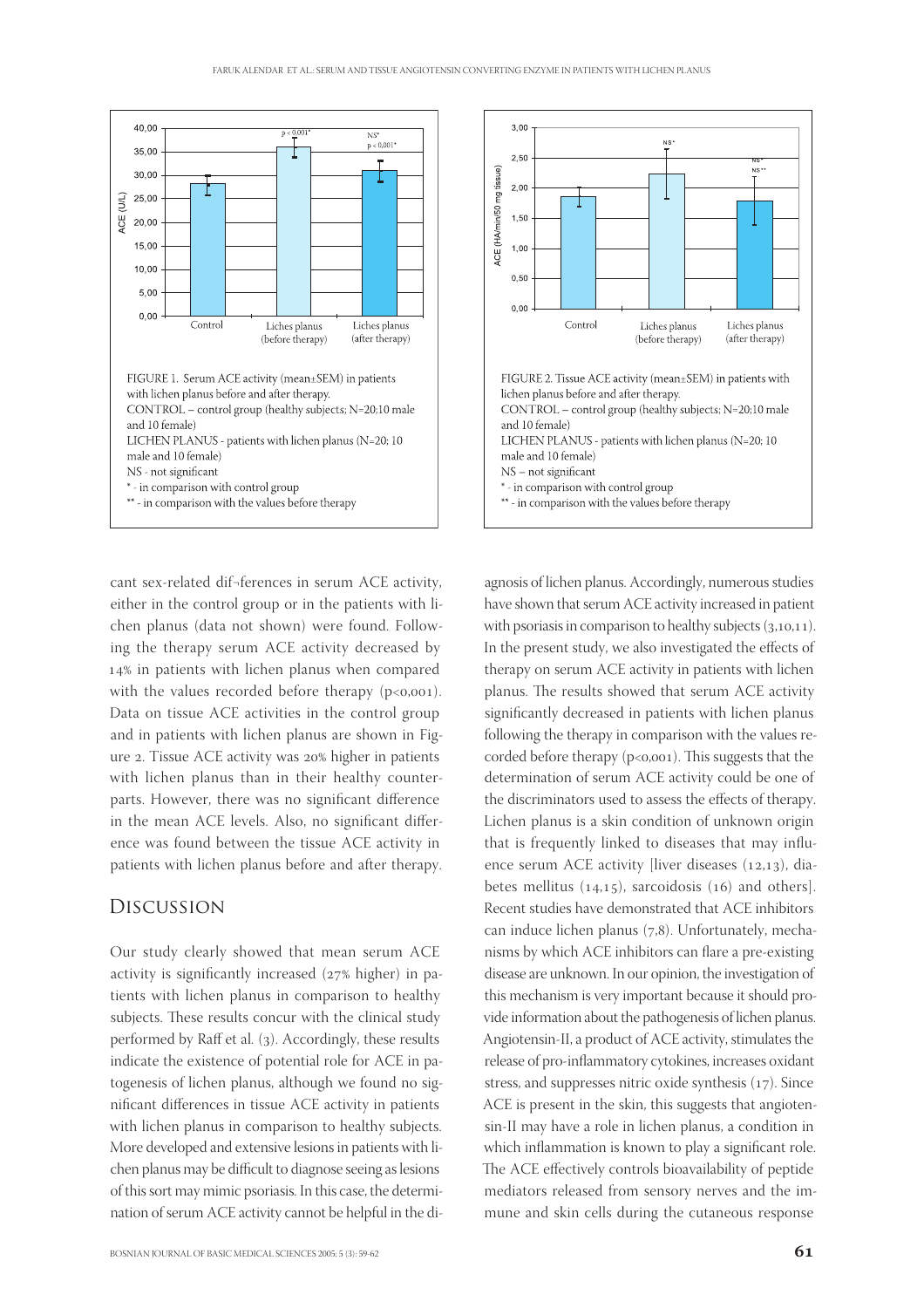

cant sex-related dif¬ferences in serum ACE activity, either in the control group or in the patients with lichen planus (data not shown) were found. Following the therapy serum ACE activity decreased by 14% in patients with lichen planus when compared with the values recorded before therapy  $(p<0.001)$ . Data on tissue ACE activities in the control group and in patients with lichen planus are shown in Figure 2. Tissue ACE activity was 20% higher in patients with lichen planus than in their healthy counterparts. However, there was no significant difference in the mean ACE levels. Also, no significant difference was found between the tissue ACE activity in patients with lichen planus before and after therapy.

## Discussion

Our study clearly showed that mean serum ACE activity is significantly increased  $(27%$  higher) in patients with lichen planus in comparison to healthy subjects. These results concur with the clinical study performed by Raff et al. (3). Accordingly, these results indicate the existence of potential role for ACE in patogenesis of lichen planus, although we found no significant differences in tissue ACE activity in patients with lichen planus in comparison to healthy subjects. More developed and extensive lesions in patients with lichen planus may be difficult to diagnose seeing as lesions of this sort may mimic psoriasis. In this case, the determination of serum ACE activity cannot be helpful in the di-



agnosis of lichen planus. Accordingly, numerous studies have shown that serum ACE activity increased in patient with psoriasis in comparison to healthy subjects  $(3,10,11)$ . In the present study, we also investigated the effects of therapy on serum ACE activity in patients with lichen planus. The results showed that serum ACE activity significantly decreased in patients with lichen planus following the therapy in comparison with the values recorded before therapy  $(p<0,001)$ . This suggests that the determination of serum ACE activity could be one of the discriminators used to assess the effects of therapy. Lichen planus is a skin condition of unknown origin that is frequently linked to diseases that may influence serum ACE activity [liver diseases  $(12,13)$ , diabetes mellitus  $(14,15)$ , sarcoidosis  $(16)$  and others]. Recent studies have demonstrated that ACE inhibitors can induce lichen planus  $(7,8)$ . Unfortunately, mechanisms by which ACE inhibitors can flare a pre-existing disease are unknown. In our opinion, the investigation of this mechanism is very important because it should provide information about the pathogenesis of lichen planus. Angiotensin-II, a product of ACE activity, stimulates the release of pro-inflammatory cytokines, increases oxidant stress, and suppresses nitric oxide synthesis  $(17)$ . Since ACE is present in the skin, this suggests that angiotensin-II may have a role in lichen planus, a condition in which inflammation is known to play a significant role. The ACE effectively controls bioavailability of peptide mediators released from sensory nerves and the immune and skin cells during the cutaneous response